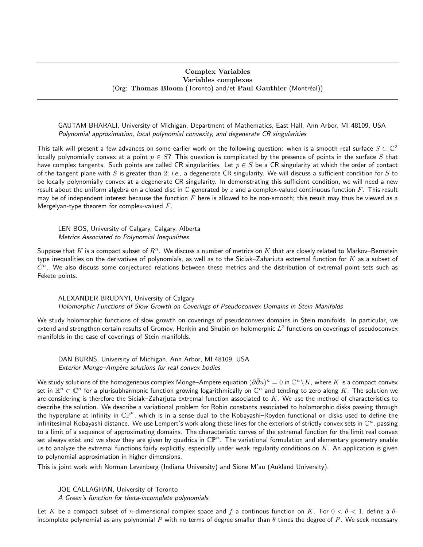## Complex Variables Variables complexes (Org: Thomas Bloom (Toronto) and/et Paul Gauthier (Montréal))

GAUTAM BHARALI, University of Michigan, Department of Mathematics, East Hall, Ann Arbor, MI 48109, USA Polynomial approximation, local polynomial convexity, and degenerate CR singularities

This talk will present a few advances on some earlier work on the following question: when is a smooth real surface  $S\subset\mathbb{C}^2$ locally polynomially convex at a point  $p \in S$ ? This question is complicated by the presence of points in the surface S that have complex tangents. Such points are called CR singularities. Let  $p \in S$  be a CR singularity at which the order of contact of the tangent plane with S is greater than 2; i.e., a degenerate CR singularity. We will discuss a sufficient condition for S to be locally polynomially convex at a degenerate CR singularity. In demonstrating this sufficient condition, we will need a new result about the uniform algebra on a closed disc in  $\mathbb C$  generated by  $z$  and a complex-valued continuous function  $F$ . This result may be of independent interest because the function  $F$  here is allowed to be non-smooth; this result may thus be viewed as a Mergelyan-type theorem for complex-valued  $F$ .

LEN BOS, University of Calgary, Calgary, Alberta Metrics Associated to Polynomial Inequalities

Suppose that K is a compact subset of  $R^n$ . We discuss a number of metrics on K that are closely related to Markov–Bernstein type inequalities on the derivatives of polynomials, as well as to the Siciak–Zahariuta extremal function for  $K$  as a subset of  $C^n$ . We also discuss some conjectured relations between these metrics and the distribution of extremal point sets such as Fekete points.

ALEXANDER BRUDNYI, University of Calgary Holomorphic Functions of Slow Growth on Coverings of Pseudoconvex Domains in Stein Manifolds

We study holomorphic functions of slow growth on coverings of pseudoconvex domains in Stein manifolds. In particular, we extend and strengthen certain results of Gromov, Henkin and Shubin on holomorphic  $L^2$  functions on coverings of pseudoconvex manifolds in the case of coverings of Stein manifolds.

DAN BURNS, University of Michigan, Ann Arbor, MI 48109, USA Exterior Monge-Ampère solutions for real convex bodies

We study solutions of the homogeneous complex Monge–Ampère equation  $(\partial\bar{\partial}u)^n=0$  in  $\mathbb{C}^n\backslash K$ , where  $K$  is a compact convex set in  $\R^n\subset\mathbb C^n$  for a plurisubharmonic function growing logarithmically on  $\mathbb C^n$  and tending to zero along  $K.$  The solution we are considering is therefore the Siciak–Zaharjuta extremal function associated to  $K$ . We use the method of characteristics to describe the solution. We describe a variational problem for Robin constants associated to holomorphic disks passing through the hyperplane at infinity in  $\mathbb{CP}^n$ , which is in a sense dual to the Kobayashi–Royden functional on disks used to define the infinitesimal Kobayashi distance. We use Lempert's work along these lines for the exteriors of strictly convex sets in  $\mathbb C^n$ , passing to a limit of a sequence of approximating domains. The characteristic curves of the extremal function for the limit real convex set always exist and we show they are given by quadrics in  $\mathbb{CP}^n.$  The variational formulation and elementary geometry enable us to analyze the extremal functions fairly explicitly, especially under weak regularity conditions on  $K$ . An application is given to polynomial approximation in higher dimensions.

This is joint work with Norman Levenberg (Indiana University) and Sione M'au (Aukland University).

JOE CALLAGHAN, University of Toronto A Green's function for theta-incomplete polynomials

Let K be a compact subset of *n*-dimensional complex space and f a continous function on K. For  $0 < \theta < 1$ , define a  $\theta$ incomplete polynomial as any polynomial P with no terms of degree smaller than  $\theta$  times the degree of P. We seek necessary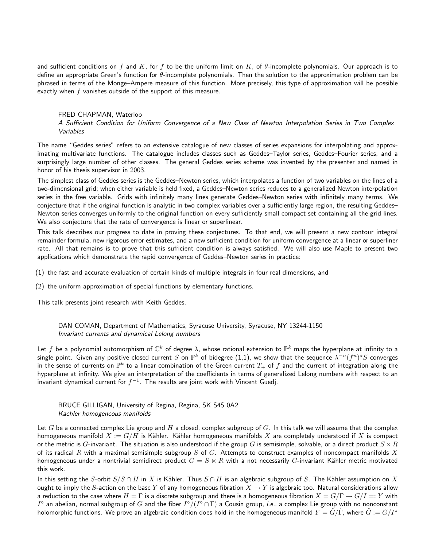and sufficient conditions on f and K, for f to be the uniform limit on K, of  $\theta$ -incomplete polynomials. Our approach is to define an appropriate Green's function for  $\theta$ -incomplete polynomials. Then the solution to the approximation problem can be phrased in terms of the Monge–Ampere measure of this function. More precisely, this type of approximation will be possible exactly when  $f$  vanishes outside of the support of this measure.

## FRED CHAPMAN, Waterloo

A Sufficient Condition for Uniform Convergence of a New Class of Newton Interpolation Series in Two Complex Variables

The name "Geddes series" refers to an extensive catalogue of new classes of series expansions for interpolating and approximating multivariate functions. The catalogue includes classes such as Geddes–Taylor series, Geddes–Fourier series, and a surprisingly large number of other classes. The general Geddes series scheme was invented by the presenter and named in honor of his thesis supervisor in 2003.

The simplest class of Geddes series is the Geddes–Newton series, which interpolates a function of two variables on the lines of a two-dimensional grid; when either variable is held fixed, a Geddes–Newton series reduces to a generalized Newton interpolation series in the free variable. Grids with infinitely many lines generate Geddes–Newton series with infinitely many terms. We conjecture that if the original function is analytic in two complex variables over a sufficiently large region, the resulting Geddes– Newton series converges uniformly to the original function on every sufficiently small compact set containing all the grid lines. We also conjecture that the rate of convergence is linear or superlinear.

This talk describes our progress to date in proving these conjectures. To that end, we will present a new contour integral remainder formula, new rigorous error estimates, and a new sufficient condition for uniform convergence at a linear or superliner rate. All that remains is to prove that this sufficient condition is always satisfied. We will also use Maple to present two applications which demonstrate the rapid convergence of Geddes–Newton series in practice:

(1) the fast and accurate evaluation of certain kinds of multiple integrals in four real dimensions, and

(2) the uniform approximation of special functions by elementary functions.

This talk presents joint research with Keith Geddes.

DAN COMAN, Department of Mathematics, Syracuse University, Syracuse, NY 13244-1150 Invariant currents and dynamical Lelong numbers

Let  $f$  be a polynomial automorphism of  $\mathbb{C}^k$  of degree  $\lambda$ , whose rational extension to  $\mathbb{P}^k$  maps the hyperplane at infinity to a single point. Given any positive closed current  $S$  on  $\mathbb{P}^k$  of bidegree (1,1), we show that the sequence  $\lambda^{-n}(f^n)^{\star}S$  converges in the sense of currents on  $\mathbb{P}^k$  to a linear combination of the Green current  $T_+$  of  $f$  and the current of integration along the hyperplane at infinity. We give an interpretation of the coefficients in terms of generalized Lelong numbers with respect to an invariant dynamical current for  $f^{-1}.$  The results are joint work with Vincent Guedj.

BRUCE GILLIGAN, University of Regina, Regina, SK S4S 0A2 Kaehler homogeneous manifolds

Let G be a connected complex Lie group and H a closed, complex subgroup of G. In this talk we will assume that the complex homogeneous manifold  $X := G/H$  is Kähler. Kähler homogeneous manifolds X are completely understood if X is compact or the metric is G-invariant. The situation is also understood if the group G is semisimple, solvable, or a direct product  $S \times R$ of its radical R with a maximal semisimple subgroup S of G. Attempts to construct examples of noncompact manifolds X homogeneous under a nontrivial semidirect product  $G = S \ltimes R$  with a not necessarily G-invariant Kähler metric motivated this work.

In this setting the S-orbit  $S/S \cap H$  in X is Kähler. Thus  $S \cap H$  is an algebraic subgroup of S. The Kähler assumption on X ought to imply the S-action on the base Y of any homogeneous fibration  $X \to Y$  is algebraic too. Natural considerations allow a reduction to the case where  $H = \Gamma$  is a discrete subgroup and there is a homogeneous fibration  $X = G/\Gamma \to G/I =: Y$  with  $I^\circ$  an abelian, normal subgroup of  $G$  and the fiber  $I^\circ/(I^\circ\cap \Gamma)$  a Cousin group, *i.e.*, a complex Lie group with no nonconstant holomorphic functions. We prove an algebraic condition does hold in the homogeneous manifold  $Y = \hat{G}/\hat{\Gamma}$ , where  $\hat{G} := G/\Gamma^{\circ}$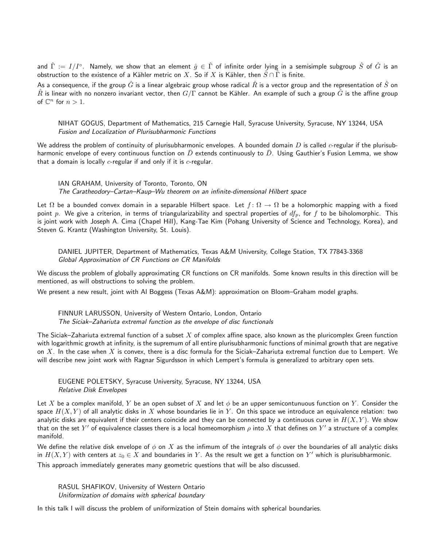and  $\hat\Gamma:=I/I^\circ.$  Namely, we show that an element  $\hat g\in\hat\Gamma$  of infinite order lying in a semisimple subgroup  $\hat S$  of  $\hat G$  is an obstruction to the existence of a Kähler metric on X. So if X is Kähler, then  $\hat{S} \cap \hat{\Gamma}$  is finite.

As a consequence, if the group  $\hat{G}$  is a linear algebraic group whose radical  $\hat{R}$  is a vector group and the representation of  $\hat{S}$  on  $\hat{R}$  is linear with no nonzero invariant vector, then  $G/\Gamma$  cannot be Kähler. An example of such a group  $\hat{G}$  is the affine group of  $\mathbb{C}^n$  for  $n > 1$ .

NIHAT GOGUS, Department of Mathematics, 215 Carnegie Hall, Syracuse University, Syracuse, NY 13244, USA Fusion and Localization of Plurisubharmonic Functions

We address the problem of continuity of plurisubharmonic envelopes. A bounded domain D is called  $c$ -regular if the plurisubharmonic envelope of every continuous function on  $\bar{D}$  extends continuously to  $\bar{D}$ . Using Gauthier's Fusion Lemma, we show that a domain is locally  $c$ -regular if and only if it is  $c$ -regular.

IAN GRAHAM, University of Toronto, Toronto, ON The Caratheodory–Cartan–Kaup–Wu theorem on an infinite-dimensional Hilbert space

Let  $\Omega$  be a bounded convex domain in a separable Hilbert space. Let  $f: \Omega \to \Omega$  be a holomorphic mapping with a fixed point p. We give a criterion, in terms of triangularizability and spectral properties of  $df_p$ , for f to be biholomorphic. This is joint work with Joseph A. Cima (Chapel Hill), Kang-Tae Kim (Pohang University of Science and Technology, Korea), and Steven G. Krantz (Washington University, St. Louis).

DANIEL JUPITER, Department of Mathematics, Texas A&M University, College Station, TX 77843-3368 Global Approximation of CR Functions on CR Manifolds

We discuss the problem of globally approximating CR functions on CR manifolds. Some known results in this direction will be mentioned, as will obstructions to solving the problem.

We present a new result, joint with Al Boggess (Texas A&M): approximation on Bloom–Graham model graphs.

FINNUR LARUSSON, University of Western Ontario, London, Ontario The Siciak–Zahariuta extremal function as the envelope of disc functionals

The Siciak–Zahariuta extremal function of a subset  $X$  of complex affine space, also known as the pluricomplex Green function with logarithmic growth at infinity, is the supremum of all entire plurisubharmonic functions of minimal growth that are negative on X. In the case when X is convex, there is a disc formula for the Siciak–Zahariuta extremal function due to Lempert. We will describe new joint work with Ragnar Sigurdsson in which Lempert's formula is generalized to arbitrary open sets.

EUGENE POLETSKY, Syracuse University, Syracuse, NY 13244, USA Relative Disk Envelopes

Let X be a complex manifold, Y be an open subset of X and let  $\phi$  be an upper semicontunuous function on Y. Consider the space  $H(X, Y)$  of all analytic disks in X whose boundaries lie in Y. On this space we introduce an equivalence relation: two analytic disks are equivalent if their centers coincide and they can be connected by a continuous curve in  $H(X, Y)$ . We show that on the set  $Y'$  of equivalence classes there is a local homeomorphism  $\rho$  into  $X$  that defines on  $Y'$  a structure of a complex manifold.

We define the relative disk envelope of  $\phi$  on X as the infimum of the integrals of  $\phi$  over the boundaries of all analytic disks in  $H(X,Y)$  with centers at  $z_0\in X$  and boundaries in  $Y.$  As the result we get a function on  $Y'$  which is plurisubharmonic. This approach immediately generates many geometric questions that will be also discussed.

RASUL SHAFIKOV, University of Western Ontario Uniformization of domains with spherical boundary

In this talk I will discuss the problem of uniformization of Stein domains with spherical boundaries.